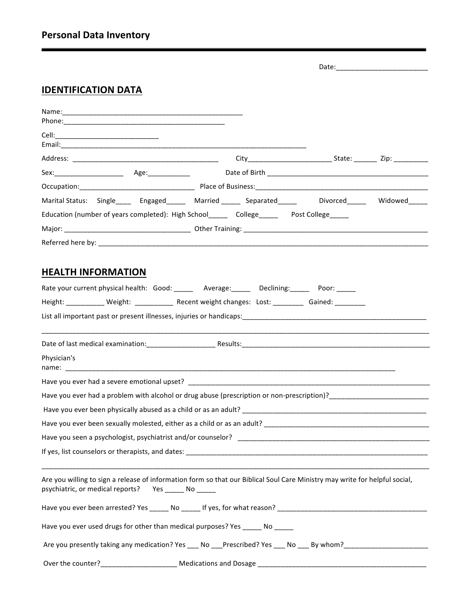|  |  | <b>Personal Data Inventory</b> |
|--|--|--------------------------------|
|--|--|--------------------------------|

Date:\_\_\_\_\_\_\_\_\_\_\_\_\_\_\_\_\_\_\_\_\_\_\_\_

## **IDENTIFICATION DATA**

| Marital Status: Single_____ Engaged______ Married _____ Separated_____ Divorced_____ Widowed_____                           |  |  |
|-----------------------------------------------------------------------------------------------------------------------------|--|--|
| Education (number of years completed): High School________ College__________ Post College______                             |  |  |
|                                                                                                                             |  |  |
|                                                                                                                             |  |  |
|                                                                                                                             |  |  |
| <b>HEALTH INFORMATION</b>                                                                                                   |  |  |
| Rate your current physical health: Good: ______ Average: _____ Declining: _____ Poor: _____                                 |  |  |
| Height: ___________ Weight: ___________ Recent weight changes: Lost: ________ Gained: ________                              |  |  |
|                                                                                                                             |  |  |
|                                                                                                                             |  |  |
| Physician's                                                                                                                 |  |  |
|                                                                                                                             |  |  |
|                                                                                                                             |  |  |
|                                                                                                                             |  |  |
|                                                                                                                             |  |  |
|                                                                                                                             |  |  |
|                                                                                                                             |  |  |
| Are you willing to sign a release of information form so that our Biblical Soul Care Ministry may write for helpful social, |  |  |
| psychiatric, or medical reports?                                                                                            |  |  |
|                                                                                                                             |  |  |
| Have you ever used drugs for other than medical purposes? Yes _____ No _____                                                |  |  |
| Are you presently taking any medication? Yes No Prescribed? Yes No By whom?                                                 |  |  |
| Over the counter?                                                                                                           |  |  |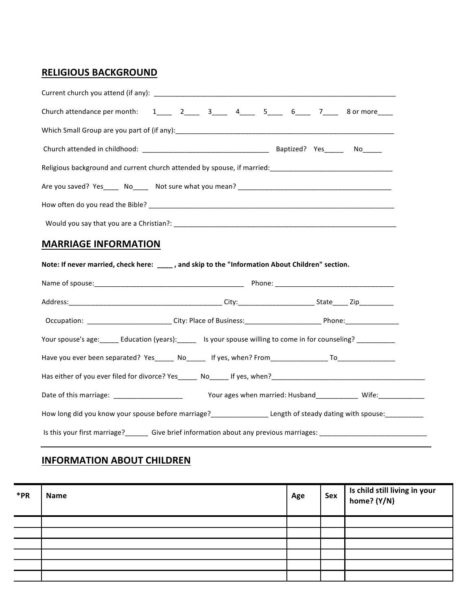## **RELIGIOUS BACKGROUND**

| Church attendance per month: $1_{\_\_\_\_}$ 2 $\_\_\_\_$ 3 $\_\_\_\_$ 4 $\_\_\_\_$ 5 $\_\_\_$ 6 $\_\_\_$ 7 $\_\_\_$ 8 or more |  |  |
|-------------------------------------------------------------------------------------------------------------------------------|--|--|
|                                                                                                                               |  |  |
|                                                                                                                               |  |  |
|                                                                                                                               |  |  |
|                                                                                                                               |  |  |
|                                                                                                                               |  |  |
|                                                                                                                               |  |  |
|                                                                                                                               |  |  |
| <b>MARRIAGE INFORMATION</b>                                                                                                   |  |  |
| Note: If never married, check here: ____, and skip to the "Information About Children" section.                               |  |  |
|                                                                                                                               |  |  |
|                                                                                                                               |  |  |
|                                                                                                                               |  |  |
| Your spouse's age: _____ Education (years): _____ Is your spouse willing to come in for counseling? __________                |  |  |
| Have you ever been separated? Yes_____ No_____ If yes, when? From________________ To________________                          |  |  |
|                                                                                                                               |  |  |
|                                                                                                                               |  |  |

Is this your first marriage?\_\_\_\_\_\_\_ Give brief information about any previous marriages: \_\_\_\_\_\_\_\_\_\_\_\_\_\_\_\_\_\_\_\_\_

## **INFORMATION ABOUT CHILDREN**

| *PR | <b>Name</b> | Age | Sex | Is child still living in your<br>home? (Y/N) |
|-----|-------------|-----|-----|----------------------------------------------|
|     |             |     |     |                                              |
|     |             |     |     |                                              |
|     |             |     |     |                                              |
|     |             |     |     |                                              |
|     |             |     |     |                                              |
|     |             |     |     |                                              |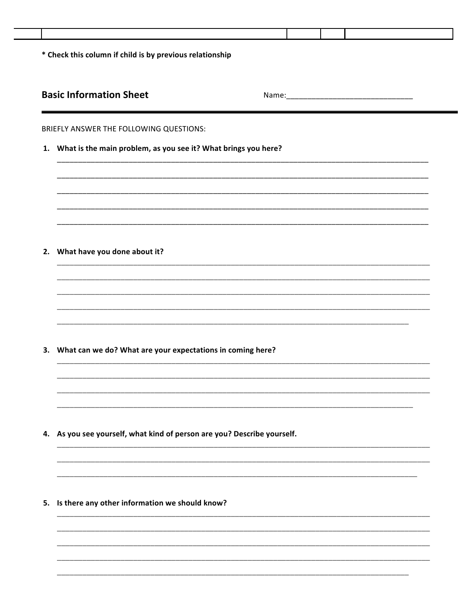| <b>Basic Information Sheet</b><br>2. What have you done about it? | BRIEFLY ANSWER THE FOLLOWING QUESTIONS:<br>What is the main problem, as you see it? What brings you here?<br>What can we do? What are your expectations in coming here?<br>Is there any other information we should know? | 4. As you see yourself, what kind of person are you? Describe yourself. |  |
|-------------------------------------------------------------------|---------------------------------------------------------------------------------------------------------------------------------------------------------------------------------------------------------------------------|-------------------------------------------------------------------------|--|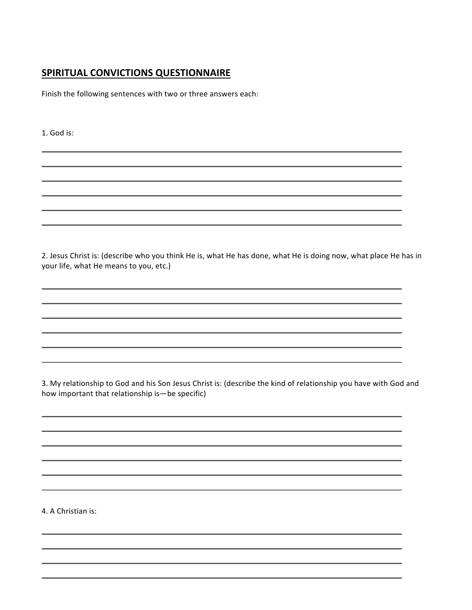## **SPIRITUAL CONVICTIONS QUESTIONNAIRE**

Finish the following sentences with two or three answers each:

1. God is:

2. Jesus Christ is: (describe who you think He is, what He has done, what He is doing now, what place He has in your life, what He means to you, etc.)

3. My relationship to God and his Son Jesus Christ is: (describe the kind of relationship you have with God and how important that relationship is—be specific)

4. A Christian is: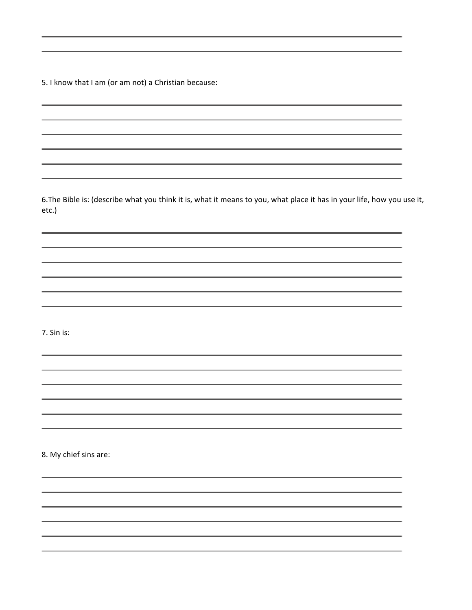5. I know that I am (or am not) a Christian because:

6. The Bible is: (describe what you think it is, what it means to you, what place it has in your life, how you use it, etc.) 

7. Sin is:

8. My chief sins are: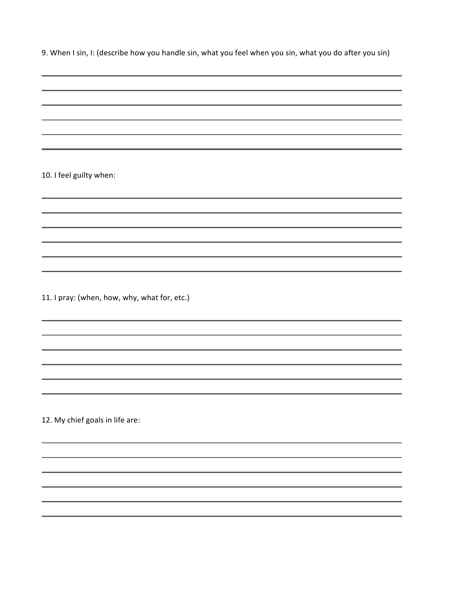9. When I sin, I: (describe how you handle sin, what you feel when you sin, what you do after you sin)

10. I feel guilty when:

11. I pray: (when, how, why, what for, etc.)

12. My chief goals in life are: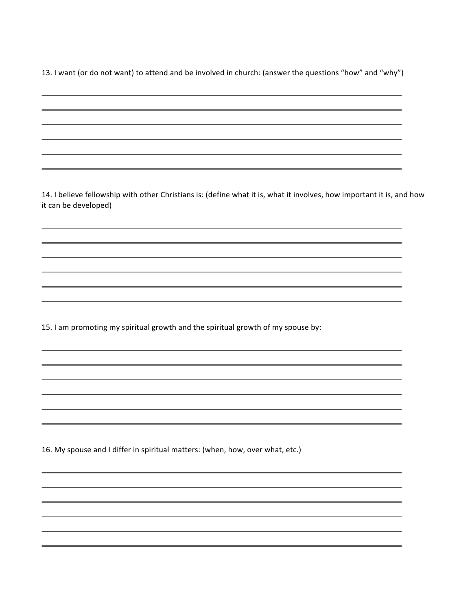13. I want (or do not want) to attend and be involved in church: (answer the questions "how" and "why")

14. I believe fellowship with other Christians is: (define what it is, what it involves, how important it is, and how it can be developed) 15. I am promoting my spiritual growth and the spiritual growth of my spouse by: 16. My spouse and I differ in spiritual matters: (when, how, over what, etc.)